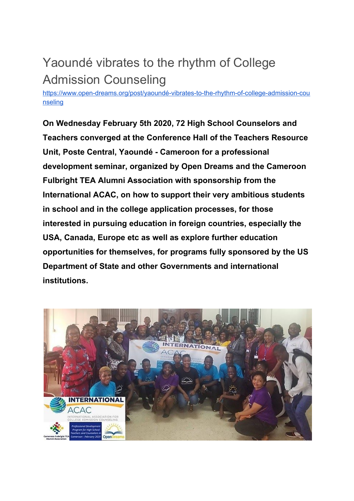## Yaoundé vibrates to the rhythm of College Admission Counseling

[https://www.open-dreams.org/post/yaoundé-vibrates-to-the-rhythm-of-college-admission-cou](https://www.open-dreams.org/post/yaound%C3%A9-vibrates-to-the-rhythm-of-college-admission-counseling) [nseling](https://www.open-dreams.org/post/yaound%C3%A9-vibrates-to-the-rhythm-of-college-admission-counseling)

**On Wednesday February 5th 2020, 72 High School Counselors and Teachers converged at the Conference Hall of the Teachers Resource Unit, Poste Central, Yaoundé - Cameroon for a professional development seminar, organized by Open Dreams and the Cameroon Fulbright TEA Alumni Association with sponsorship from the International ACAC, on how to support their very ambitious students in school and in the college application processes, for those interested in pursuing education in foreign countries, especially the USA, Canada, Europe etc as well as explore further education opportunities for themselves, for programs fully sponsored by the US Department of State and other Governments and international institutions.**

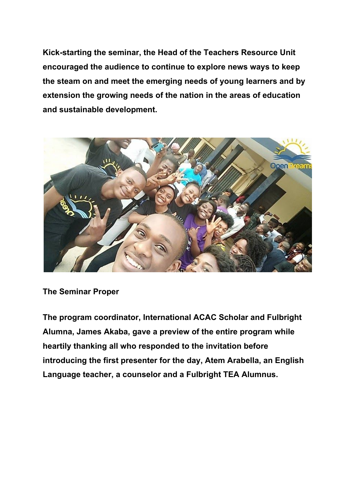**Kick-starting the seminar, the Head of the Teachers Resource Unit encouraged the audience to continue to explore news ways to keep the steam on and meet the emerging needs of young learners and by extension the growing needs of the nation in the areas of education and sustainable development.**



**The Seminar Proper**

**The program coordinator, International ACAC Scholar and Fulbright Alumna, James Akaba, gave a preview of the entire program while heartily thanking all who responded to the invitation before introducing the first presenter for the day, Atem Arabella, an English Language teacher, a counselor and a Fulbright TEA Alumnus.**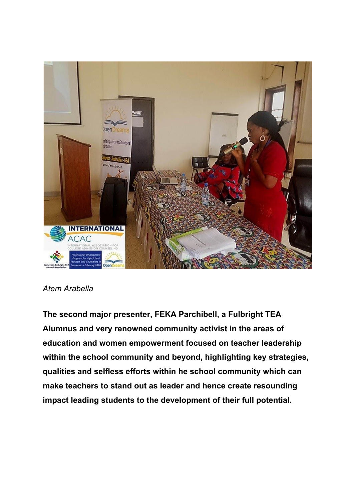

## *Atem Arabella*

**The second major presenter, FEKA Parchibell, a Fulbright TEA Alumnus and very renowned community activist in the areas of education and women empowerment focused on teacher leadership within the school community and beyond, highlighting key strategies, qualities and selfless efforts within he school community which can make teachers to stand out as leader and hence create resounding impact leading students to the development of their full potential.**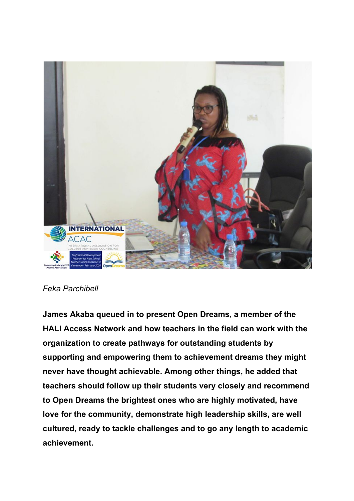

## *Feka Parchibell*

**James Akaba queued in to present Open Dreams, a member of the HALI Access Network and how teachers in the field can work with the organization to create pathways for outstanding students by supporting and empowering them to achievement dreams they might never have thought achievable. Among other things, he added that teachers should follow up their students very closely and recommend to Open Dreams the brightest ones who are highly motivated, have love for the community, demonstrate high leadership skills, are well cultured, ready to tackle challenges and to go any length to academic achievement.**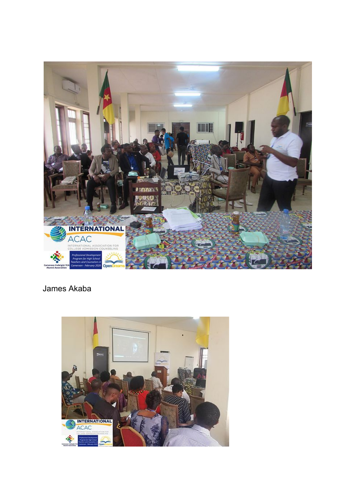

## James Akaba

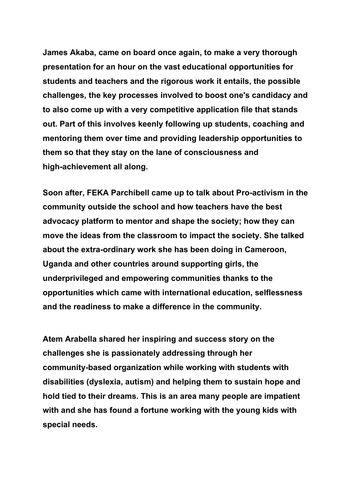**James Akaba, came on board once again, to make a very thorough presentation for an hour on the vast educational opportunities for students and teachers and the rigorous work it entails, the possible challenges, the key processes involved to boost one's candidacy and to also come up with a very competitive application file that stands out. Part of this involves keenly following up students, coaching and mentoring them over time and providing leadership opportunities to them so that they stay on the lane of consciousness and high-achievement all along.**

**Soon after, FEKA Parchibell came up to talk about Pro-activism in the community outside the school and how teachers have the best advocacy platform to mentor and shape the society; how they can move the ideas from the classroom to impact the society. She talked about the extra-ordinary work she has been doing in Cameroon, Uganda and other countries around supporting girls, the underprivileged and empowering communities thanks to the opportunities which came with international education, selflessness and the readiness to make a difference in the community.**

**Atem Arabella shared her inspiring and success story on the challenges she is passionately addressing through her community-based organization while working with students with disabilities (dyslexia, autism) and helping them to sustain hope and hold tied to their dreams. This is an area many people are impatient with and she has found a fortune working with the young kids with special needs.**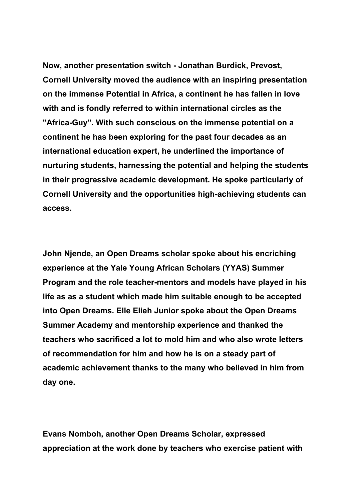**Now, another presentation switch - Jonathan Burdick, Prevost, Cornell University moved the audience with an inspiring presentation on the immense Potential in Africa, a continent he has fallen in love with and is fondly referred to within international circles as the "Africa-Guy". With such conscious on the immense potential on a continent he has been exploring for the past four decades as an international education expert, he underlined the importance of nurturing students, harnessing the potential and helping the students in their progressive academic development. He spoke particularly of Cornell University and the opportunities high-achieving students can access.**

**John Njende, an Open Dreams scholar spoke about his encriching experience at the Yale Young African Scholars (YYAS) Summer Program and the role teacher-mentors and models have played in his life as as a student which made him suitable enough to be accepted into Open Dreams. Elle Elieh Junior spoke about the Open Dreams Summer Academy and mentorship experience and thanked the teachers who sacrificed a lot to mold him and who also wrote letters of recommendation for him and how he is on a steady part of academic achievement thanks to the many who believed in him from day one.**

**Evans Nomboh, another Open Dreams Scholar, expressed appreciation at the work done by teachers who exercise patient with**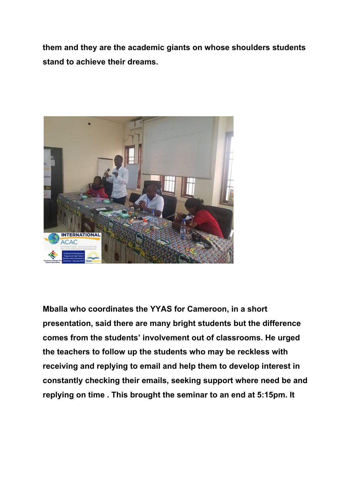**them and they are the academic giants on whose shoulders students stand to achieve their dreams.**



**Mballa who coordinates the YYAS for Cameroon, in a short presentation, said there are many bright students but the difference comes from the students' involvement out of classrooms. He urged the teachers to follow up the students who may be reckless with receiving and replying to email and help them to develop interest in constantly checking their emails, seeking support where need be and replying on time . This brought the seminar to an end at 5:15pm. It**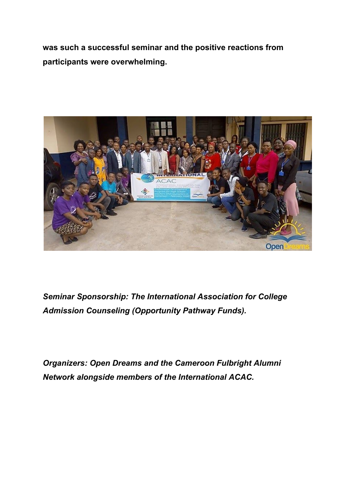**was such a successful seminar and the positive reactions from participants were overwhelming.**



*Seminar Sponsorship: The International Association for College Admission Counseling (Opportunity Pathway Funds).*

*Organizers: Open Dreams and the Cameroon Fulbright Alumni Network alongside members of the International ACAC.*